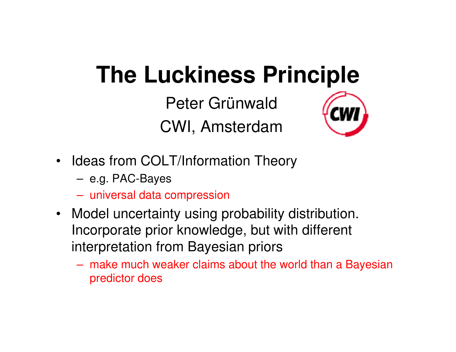# **The Luckiness Principle**

Peter GrünwaldCWI, Amsterdam



- Ideas from COLT/Information Theory
	- –e.g. PAC-Bayes
	- –universal data compression
- Model uncertainty using probability distribution. Incorporate prior knowledge, but with different interpretation from Bayesian priors
	- – make much weaker claims about the world than a Bayesian predictor does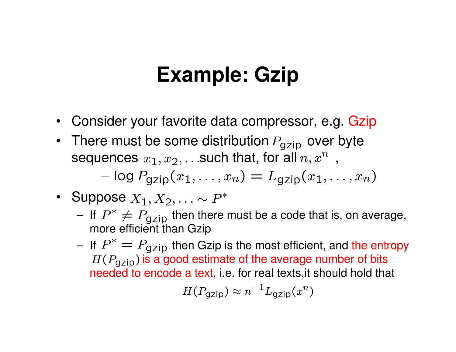## **Example: Gzip**

- $\bullet$ Consider your favorite data compressor, e.g. Gzip
- There must be some distribution  $P_{\sf{gzip}}$  over byte sequences  $x_1, x_2, \ldots$ such that, for all  $n, x^n$  ,  $\log P_{\text{gzip}}(x_1, \ldots, x_n) = L_{\text{gzip}}(x_1, \ldots, x_n)$
- Suppose  $X_1, X_2, \ldots \sim P^*$ 
	- –If  $P^* \neq P_{gzip}$  then there must be a code that is, on average, more efficient than Gzip more efficient than Gzip
	- **Links of the Company** If  $P^* = P_{\text{gzip}}$  then Gzip is the most efficient, and the entropy  $H(P \to \text{lis a good estimate of the average number of bits})$  $H(P_{\sf{gzip}})$  is a good estimate of the average number of bits needed to encode a text, i.e. for real texts,it should hold that

$$
H(P_{\text{gzip}}) \approx n^{-1} L_{\text{gzip}}(x^n)
$$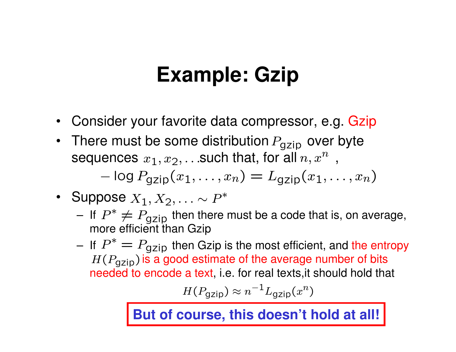## **Example: Gzip**

- $\bullet$ Consider your favorite data compressor, e.g. Gzip
- There must be some distribution  $P_{\sf{gzip}}$  over byte sequences  $x_1, x_2, \ldots$ such that, for all  $n, x^n$  ,  $\log P_{\text{gzip}}(x_1, \ldots, x_n) = L_{\text{gzip}}(x_1, \ldots, x_n)$
- Suppose  $X_1, X_2, \ldots \sim P^*$ 
	- –If  $P^* \neq P_{gzip}$  then there must be a code that is, on average, more efficient than Gzip more efficient than Gzip
	- **Links of the Company** If  $P^* = P_{\text{gzip}}$  then Gzip is the most efficient, and the entropy  $H(P \to \text{lis a good estimate of the average number of bits})$  $H(P_{\sf{gzip}})$  is a good estimate of the average number of bits needed to encode a text, i.e. for real texts,it should hold that

$$
H(P_{\text{gzip}}) \approx n^{-1} L_{\text{gzip}}(x^n)
$$

**But of course, this doesn't hold at all!**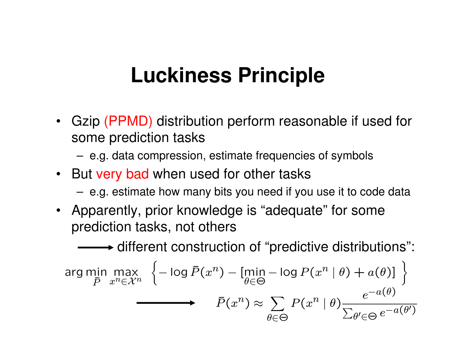## **Luckiness Principle**

- Gzip (PPMD) distribution perform reasonable if used for some prediction tasks
	- –e.g. data compression, estimate frequencies of symbols
- But very bad when used for other tasks
	- **Links of the Company** e.g. estimate how many bits you need if you use it to code data
- Apparently, prior knowledge is "adequate" for some prediction tasks, not others

 $\rightarrow$  different construction of "predictive distributions":

$$
\arg\min_{\bar{P}} \max_{x^n \in \mathcal{X}^n} \left\{ -\log \bar{P}(x^n) - \left[ \min_{\theta \in \Theta} -\log P(x^n | \theta) + a(\theta) \right] \right\}
$$

$$
\xrightarrow{\bar{P}(x^n)} \approx \sum_{\theta \in \Theta} P(x^n | \theta) \frac{e^{-a(\theta)}}{\sum_{\theta' \in \Theta} e^{-a(\theta')}}
$$